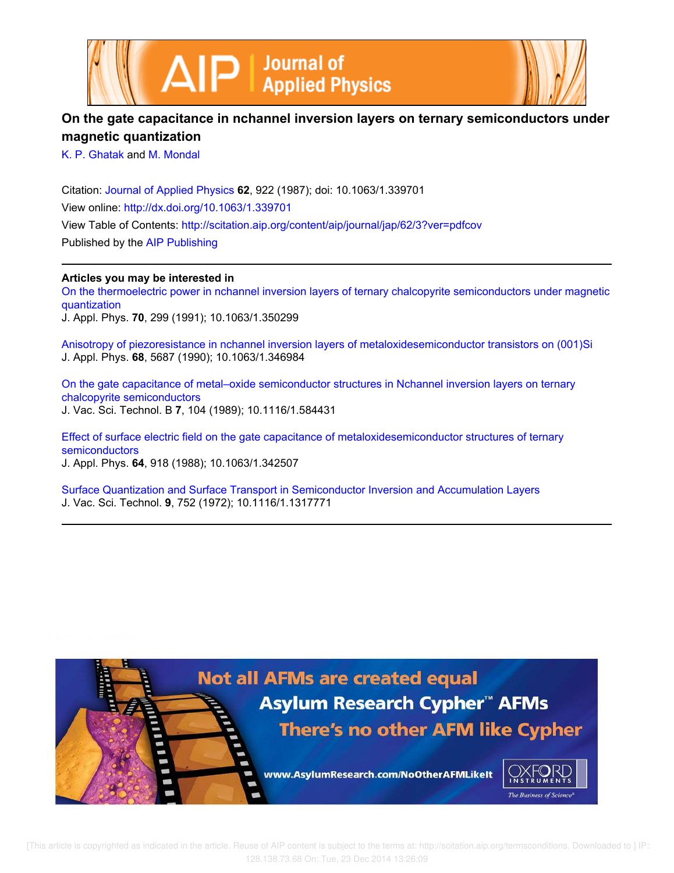



## **On the gate capacitance in nchannel inversion layers on ternary semiconductors under magnetic quantization**

K. P. Ghatak and M. Mondal

Citation: Journal of Applied Physics **62**, 922 (1987); doi: 10.1063/1.339701 View online: http://dx.doi.org/10.1063/1.339701 View Table of Contents: http://scitation.aip.org/content/aip/journal/jap/62/3?ver=pdfcov Published by the AIP Publishing

**Articles you may be interested in**

On the thermoelectric power in nchannel inversion layers of ternary chalcopyrite semiconductors under magnetic quantization

J. Appl. Phys. **70**, 299 (1991); 10.1063/1.350299

Anisotropy of piezoresistance in nchannel inversion layers of metaloxidesemiconductor transistors on (001)Si J. Appl. Phys. **68**, 5687 (1990); 10.1063/1.346984

On the gate capacitance of metal–oxide semiconductor structures in Nchannel inversion layers on ternary chalcopyrite semiconductors J. Vac. Sci. Technol. B **7**, 104 (1989); 10.1116/1.584431

Effect of surface electric field on the gate capacitance of metaloxidesemiconductor structures of ternary semiconductors

J. Appl. Phys. **64**, 918 (1988); 10.1063/1.342507

Surface Quantization and Surface Transport in Semiconductor Inversion and Accumulation Layers J. Vac. Sci. Technol. **9**, 752 (1972); 10.1116/1.1317771

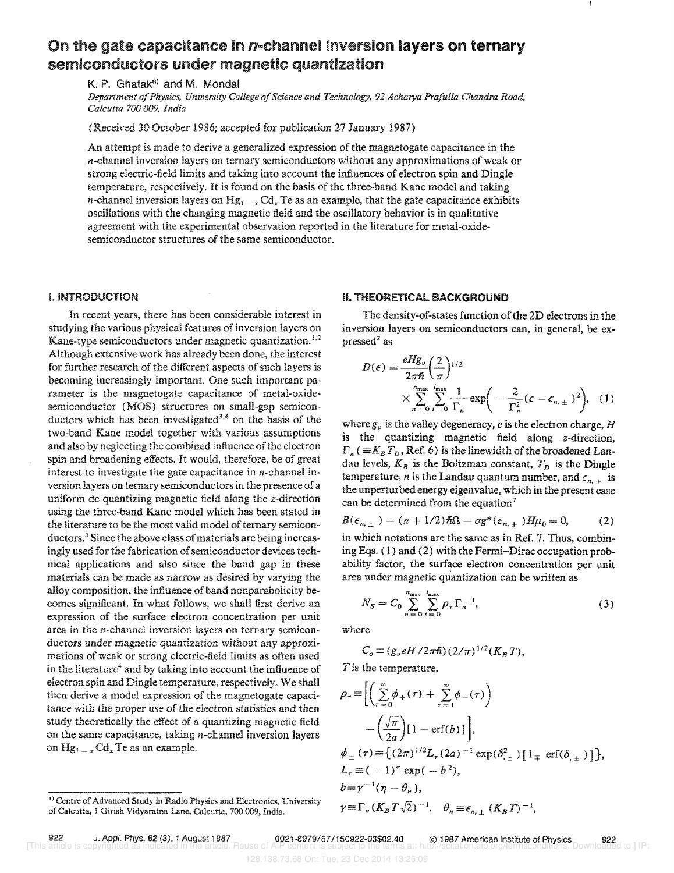# On the gate capacitance in  $n$ -channel inversion layers on ternary semiconductors under magnetic quantization

K. P. Ghatak<sup>a)</sup> and M. Mondal

*Department of Physics, University College of Science and Technology,* 92 *Acharya Prafulla Chandra Road, Calcutta 700 009. India* 

(Received 30 October 1986; accepted for publication 27 January 1987)

An attempt is made to derive a generalized expression of the magnetogate capacitance in the n-channel inversion layers on ternary semiconductors without any approximations of weak or strong electric-field limits and taking into account the influences of electron spin and Dingle temperature, respectively. It is found on the basis of the three-band Kane model and taking *n*-channel inversion layers on  $Hg_{1-x} Cd_x Te$  as an example, that the gate capacitance exhibits oscillations with the changing magnetic field and the oscillatory behavior is in qualitative agreement with the experimental observation reported in the literature for metal-oxidesemiconductor structures of the same semiconductor.

#### I. INTRODUCTION

In recent years, there has been considerable interest in studying the various physical features of inversion layers on Kane-type semiconductors under magnetic quantization.<sup>1,2</sup> Although extensive work has already been done, the interest for further research of the different aspects of such layers is becoming increasingly important. One such important parameter is the magnetogate capacitance of metal-oxidesemiconductor (MOS) structures on small-gap semiconductors which has been investigated<sup>3,4</sup> on the basis of the two-band Kane model together with various assumptions and also by neglecting the combined influence of the electron spin and broadening effects. It would, therefore, be of great interest to investigate the gate capacitance in n-channel inversion layers on ternary semiconductors in the presence of a uniform dc quantizing magnetic field along the z-direction using the three-band Kane model which has been stated in the literature to be the most valid model of ternary semiconductors.<sup>5</sup> Since the above class of materials are being increasingly used for the fabrication of semiconductor devices technical applications and also since the band gap in these materials can be made as narrow as desired by varying the alloy composition, the influence of band nonparabolicity becomes significant. In what follows, we shall first derive an expression of the surface electron concentration per unit area in the  $n$ -channel inversion layers on ternary semiconductors under magnetic quantization without any approximations of weak or strong electric-field limits as often used in the literature<sup>4</sup> and by taking into account the influence of electron spin and Dingle temperature, respectively. We shall then derive a model expression of the magnetogate capacitance with the proper use of the electron statistics and then study theoretically the effect of a quantizing magnetic field on the same capacitance, taking  $n$ -channel inversion layers on  $Hg_{1-x}Cd_x$  Te as an example.

### II. THEORETICAL BACKGROUND

The density-of-states function of the 2D electrons in the inversion layers on semiconductors can, in general, be expressed<sup>2</sup> as

$$
D(\epsilon) = \frac{eHg_v}{2\pi\hbar} \left(\frac{2}{\pi}\right)^{1/2} \times \sum_{n=0}^{n_{\text{max}}} \sum_{i=0}^{i_{\text{max}}} \frac{1}{\Gamma_n} \exp\left(-\frac{2}{\Gamma_n^2}(\epsilon - \epsilon_{n,\pm})^2\right), \quad (1)
$$

where  $g_v$  is the valley degeneracy, *e* is the electron charge, *H* is the quantizing magnetic field along z-direction,  $\Gamma_n$  ( $\equiv K_B T_D$ , Ref. 6) is the linewidth of the broadened Landau levels,  $K_B$  is the Boltzman constant,  $T_D$  is the Dingle temperature, *n* is the Landau quantum number, and  $\epsilon_{n,+}$  is the unperturbed energy eigenvalue, which in the present case can be determined from the equation?

$$
B(\epsilon_{n,\pm}) - (n+1/2)\hbar\Omega - \sigma g^*(\epsilon_{n,\pm})H\mu_0 = 0, \qquad (2)
$$

in which notations are the same as in Ref. 7, Thus, combining Eqs. ( 1 ) and (2) with the Fermi-Dirac occupation probability factor, the surface electron concentration per unit area under magnetic quantization can be written as

$$
N_S = C_0 \sum_{n=0}^{n_{\text{max}}} \sum_{i=0}^{i_{\text{max}}} \rho_{\tau} \Gamma_n^{-1},
$$
 (3)

where

$$
C_o \equiv (g_v e H / 2\pi \hslash) (2/\pi)^{1/2} (K_B T),
$$

 $T$  is the temperature,

$$
\rho_{\tau} = \left[ \left( \sum_{\tau=0}^{\infty} \phi_{+}(\tau) + \sum_{\tau=1}^{\infty} \phi_{-}(\tau) \right) - \left( \frac{\sqrt{\pi}}{2a} \right) [1 - \text{erf}(b)] \right],
$$
\n
$$
\phi_{\pm}(\tau) = \left\{ (2\pi)^{1/2} L_{\tau} (2a)^{-1} \exp(\delta_{\pm}^{2}) [1_{\mp} \text{erf}(\delta_{\pm})] \right\},
$$
\n
$$
L_{\tau} = (-1)^{\tau} \exp(-b^{2}),
$$
\n
$$
b \equiv \gamma^{-1} (\eta - \theta_{n}),
$$
\n
$$
\gamma = \Gamma_{n} (K_{B} T \sqrt{2})^{-1}, \quad \theta_{n} \equiv \epsilon_{n, \pm} (K_{B} T)^{-1},
$$

a) Centre of Advanced Study in Radio Physics and Electronics, University of Calcutta, 1 Girish Vidyaratna Lane, Calcutta, 700 009, India.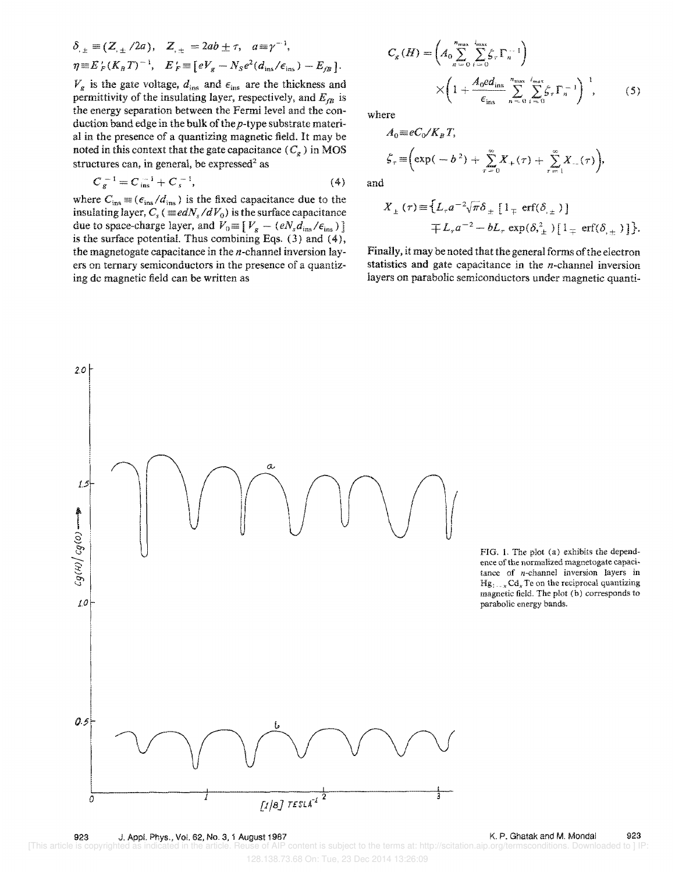$$
\delta_{\pm} \equiv (Z_{\pm}/2a), \quad Z_{\pm} = 2ab \pm \tau, \quad a \equiv \gamma^{-1},
$$
  

$$
\eta \equiv E'_F (K_B T)^{-1}, \quad E'_F \equiv [eV_g - N_S e^2 (d_{\text{ins}}/\epsilon_{\text{ins}}) - E_{fB}].
$$

 $V_g$  is the gate voltage,  $d_{ins}$  and  $\epsilon_{ins}$  are the thickness and permittivity of the insulating layer, respectively, and  $E_{fB}$  is the energy separation between the Fermi level and the conduction band edge in the bulk of the  $p$ -type substrate material in the presence of a quantizing magnetic field. It may be noted in this context that the gate capacitance  $(C_g)$  in MOS structures can, in general, be expressed<sup>2</sup> as

$$
C_{g}^{-1} = C_{ins}^{-1} + C_{s}^{-1}, \tag{4}
$$

where  $C_{\text{ins}} \equiv (\epsilon_{\text{ins}}/d_{\text{ins}})$  is the fixed capacitance due to the insulating layer,  $C_s$  ( $\equiv$ edN<sub>s</sub>/dV<sub>0</sub>) is the surface capacitance due to space-charge layer, and  $V_0\!\equiv\! \left[ \,V_g - (e N_s d_{\rm ins}/\epsilon_{\rm ins}) \,\right]$ is the surface potential. Thus combining Eqs.  $(3)$  and  $(4)$ , the magnetogate capacitance in the  $n$ -channel inversion layers on ternary semiconductors in the presence of a quantizing de magnetic field can be written as

$$
C_g(H) = \left(A_0 \sum_{n=0}^{n_{\text{max}}} \sum_{i=0}^{i_{\text{max}}} \zeta_{\tau} \Gamma_n^{-1}\right)
$$

$$
\times \left(1 + \frac{A_0 e d_{\text{ins}}}{\epsilon_{\text{ins}}}\sum_{n=0}^{n_{\text{max}}} \sum_{i=0}^{i_{\text{max}}} \zeta_{\tau} \Gamma_n^{-1}\right)^{-1}, \qquad (5)
$$

where

J

 $\boldsymbol{\Lambda}$ 

 $\sqrt{K}$   $\sqrt{T}$ 

$$
A_0 \equiv eC_0/K_B T,
$$
  
\n
$$
\zeta_{\tau} \equiv \left(\exp(-b^2) + \sum_{\tau=0}^{\infty} X_{+}(\tau) + \sum_{\tau=1}^{\infty} X_{-}(\tau)\right),
$$
  
\nand

$$
X_{\pm}(\tau) \equiv \{L_{\tau} a^{-2} \sqrt{\pi} \delta_{\pm} [1_{\mp} \text{ erf}(\delta_{,\pm})] \}
$$
  
 
$$
\mp L_{\tau} a^{-2} - bL_{\tau} \exp(\delta_{,\pm}^{2}) [1_{\mp} \text{ erf}(\delta_{,\pm})] \}.
$$

Finally, it may be noted that the general forms of the electron statistics and gate capacitance in the  $n$ -channel inversion layers on parabolic semiconductors under magnetic quanti-



FIG. 1. The plot (a) exhibits the dependence of the normalized magnetogate capacitance of  $n$ -channel inversion layers in  $Hg_1 \sim x \, Cd_x$  Te on the reciprocal quantizing magnetic field. The plot (b) corresponds to parabolic energy bands.

K. P. Ghatak and M. Mondal 923

[This article is copyrighted se of AIP content is subject to the terms at: http://scitation.aip.org/termsconditions. Downloaded to 1 IP 128.138.73.68 On: Tue, 23 Dec 2014 13:26:09